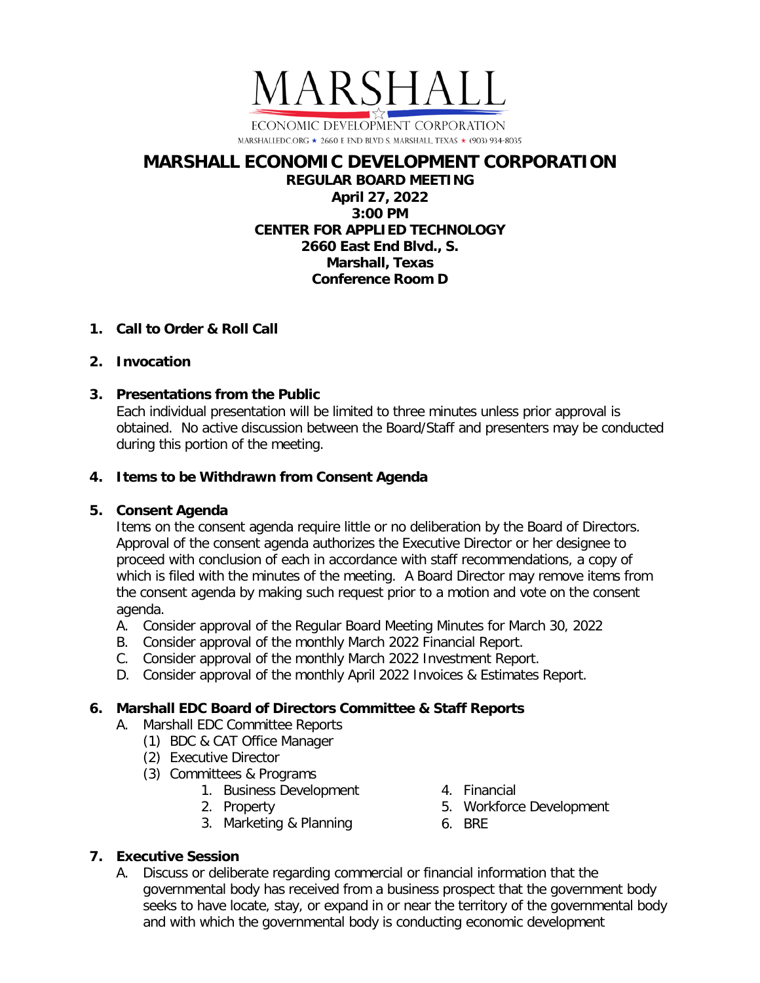

# **MARSHALL ECONOMIC DEVELOPMENT CORPORATION REGULAR BOARD MEETING**

**April 27, 2022 3:00 PM CENTER FOR APPLIED TECHNOLOGY 2660 East End Blvd., S. Marshall, Texas Conference Room D**

## **1. Call to Order & Roll Call**

#### **2. Invocation**

## **3. Presentations from the Public**

Each individual presentation will be limited to three minutes unless prior approval is obtained. No active discussion between the Board/Staff and presenters may be conducted during this portion of the meeting.

## **4. Items to be Withdrawn from Consent Agenda**

# **5. Consent Agenda**

Items on the consent agenda require little or no deliberation by the Board of Directors. Approval of the consent agenda authorizes the Executive Director or her designee to proceed with conclusion of each in accordance with staff recommendations, a copy of which is filed with the minutes of the meeting. A Board Director may remove items from the consent agenda by making such request prior to a motion and vote on the consent agenda.

- A. Consider approval of the Regular Board Meeting Minutes for March 30, 2022
- B. Consider approval of the monthly March 2022 Financial Report.
- C. Consider approval of the monthly March 2022 Investment Report.
- D. Consider approval of the monthly April 2022 Invoices & Estimates Report.

# **6. Marshall EDC Board of Directors Committee & Staff Reports**

- A. Marshall EDC Committee Reports
	- (1) BDC & CAT Office Manager
	- (2) Executive Director
	- (3) Committees & Programs
		- 1. Business Development
		- 2. Property
		- 3. Marketing & Planning
- 4. Financial
	- 5. Workforce Development
- 6. BRE

#### **7. Executive Session**

A. Discuss or deliberate regarding commercial or financial information that the governmental body has received from a business prospect that the government body seeks to have locate, stay, or expand in or near the territory of the governmental body and with which the governmental body is conducting economic development